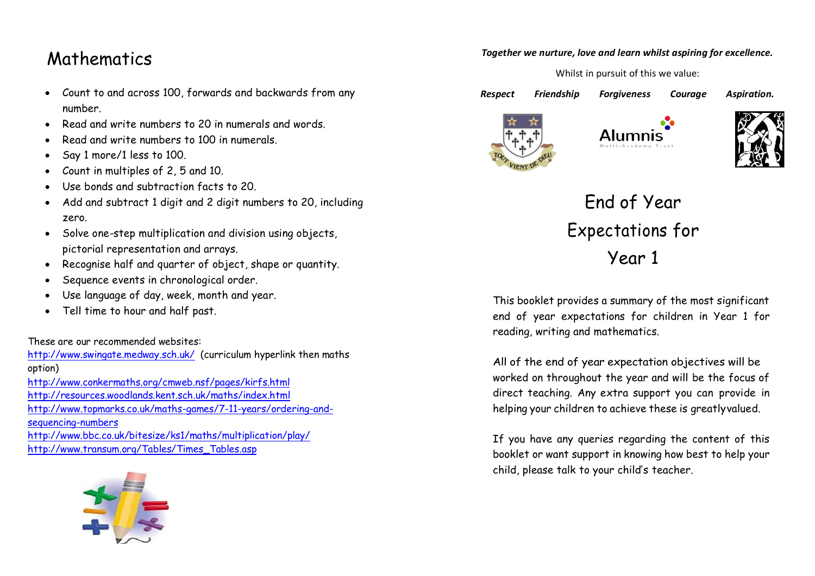## Mathematics

- Count to and across 100, forwards and backwards from any number.
- Read and write numbers to 20 in numerals and words.
- Read and write numbers to 100 in numerals.
- Say 1 more/1 less to 100.
- Count in multiples of 2, 5 and 10.
- Use bonds and subtraction facts to 20.
- Add and subtract 1 digit and 2 digit numbers to 20, including zero.
- Solve one-step multiplication and division using objects, pictorial representation and arrays.
- Recognise half and quarter of object, shape or quantity.
- Sequence events in chronological order.
- Use language of day, week, month and year.
- Tell time to hour and half past.

These are our recommended websites:

<http://www.swingate.medway.sch.uk/>(curriculum hyperlink then maths option) <http://www.conkermaths.org/cmweb.nsf/pages/kirfs.html> <http://resources.woodlands.kent.sch.uk/maths/index.html> [http://www.topmarks.co.uk/maths-games/7-11-years/ordering-and](http://www.topmarks.co.uk/maths-games/7-11-years/ordering-and-sequencing-numbers)[sequencing-numbers](http://www.topmarks.co.uk/maths-games/7-11-years/ordering-and-sequencing-numbers) <http://www.bbc.co.uk/bitesize/ks1/maths/multiplication/play/>

[http://www.transum.org/Tables/Times\\_Tables.asp](http://www.transum.org/Tables/Times_Tables.asp)



## *Together we nurture, love and learn whilst aspiring for excellence.*

Whilst in pursuit of this we value:

*Respect Friendship Forgiveness Courage Aspiration.* 









End of Year Expectations for Year 1

This booklet provides a summary of the most significant end of year expectations for children in Year 1 for reading, writing and mathematics.

All of the end of year expectation objectives will be worked on throughout the year and will be the focus of direct teaching. Any extra support you can provide in helping your children to achieve these is greatlyvalued.

If you have any queries regarding the content of this booklet or want support in knowing how best to help your child, please talk to your child's teacher.